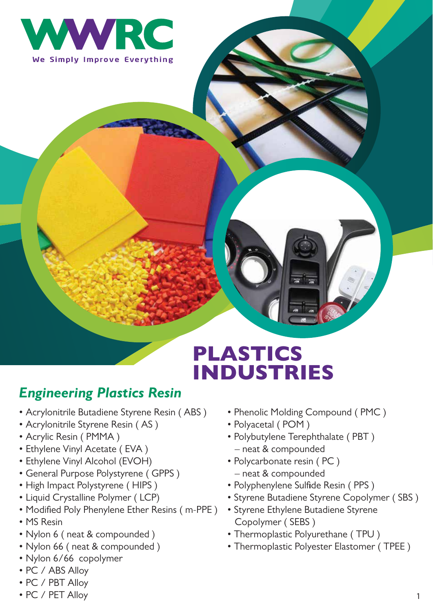

# PLASTICS INDUSTRIES

### *Engineering Plastics Resin*

- Acrylonitrile Butadiene Styrene Resin ( ABS )
- Acrylonitrile Styrene Resin ( AS )
- Acrylic Resin ( PMMA )
- Ethylene Vinyl Acetate ( EVA )
- Ethylene Vinyl Alcohol (EVOH)
- General Purpose Polystyrene ( GPPS )
- High Impact Polystyrene ( HIPS )
- Liquid Crystalline Polymer ( LCP)
- Modified Poly Phenylene Ether Resins ( m-PPE )
- MS Resin
- Nylon 6 ( neat & compounded )
- Nylon 66 ( neat & compounded )
- Nylon 6/66 copolymer
- PC / ABS Alloy
- PC / PBT Alloy
- PC / PET Alloy
- Phenolic Molding Compound ( PMC )
- Polyacetal ( POM )
- Polybutylene Terephthalate ( PBT ) – neat & compounded
- Polycarbonate resin ( PC ) – neat & compounded
- Polyphenylene Sulfide Resin ( PPS )
- Styrene Butadiene Styrene Copolymer ( SBS )
- Styrene Ethylene Butadiene Styrene Copolymer ( SEBS )
- Thermoplastic Polyurethane ( TPU )
- Thermoplastic Polyester Elastomer ( TPEE )